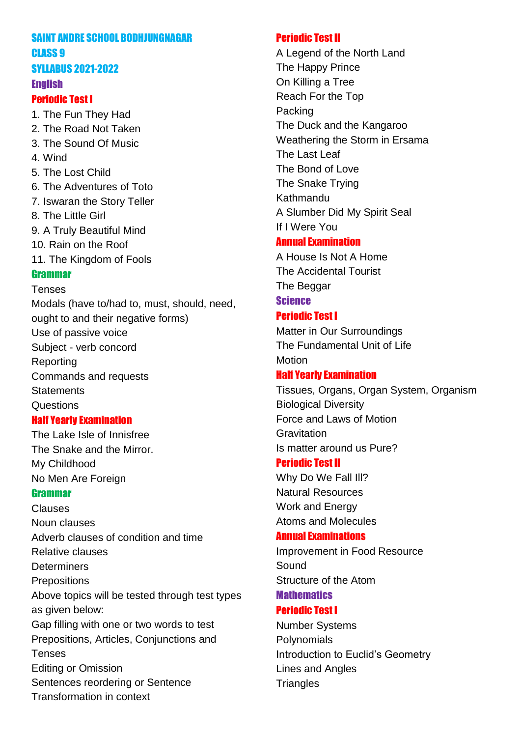#### SAINT ANDRE SCHOOL BODHJUNGNAGAR CLASS 9

### SYLLABUS 2021-2022

#### **English**

### Periodic Test I

1. The Fun They Had

- 2. The Road Not Taken 3. The Sound Of Music
- 
- 4. Wind
- 5. The Lost Child
- 6. The Adventures of Toto
- 7. Iswaran the Story Teller
- 8. The Little Girl
- 9. A Truly Beautiful Mind
- 10. Rain on the Roof
- 11. The Kingdom of Fools

## Grammar

### Tenses

Modals (have to/had to, must, should, need, ought to and their negative forms) Use of passive voice Subject - verb concord Reporting Commands and requests **Statements Questions** Half Yearly Examination

The Lake Isle of Innisfree The Snake and the Mirror. My Childhood No Men Are Foreign

### Grammar

Clauses Noun clauses Adverb clauses of condition and time Relative clauses **Determiners Prepositions** Above topics will be tested through test types as given below: Gap filling with one or two words to test Prepositions, Articles, Conjunctions and Tenses Editing or Omission Sentences reordering or Sentence Transformation in context

## Periodic Test II

A Legend of the North Land The Happy Prince On Killing a Tree Reach For the Top Packing The Duck and the Kangaroo Weathering the Storm in Ersama The Last Leaf The Bond of Love The Snake Trying Kathmandu A Slumber Did My Spirit Seal If I Were You

## Annual Examination

A House Is Not A Home The Accidental Tourist The Beggar **Science** 

# Periodic Test I

Matter in Our Surroundings The Fundamental Unit of Life Motion

## Half Yearly Examination

Tissues, Organs, Organ System, Organism Biological Diversity Force and Laws of Motion **Gravitation** Is matter around us Pure?

## Periodic Test II

Why Do We Fall III? Natural Resources Work and Energy Atoms and Molecules

## Annual Examinations

Improvement in Food Resource Sound Structure of the Atom

# **Mathematics**

## Periodic Test I

Number Systems **Polynomials** Introduction to Euclid's Geometry Lines and Angles **Triangles**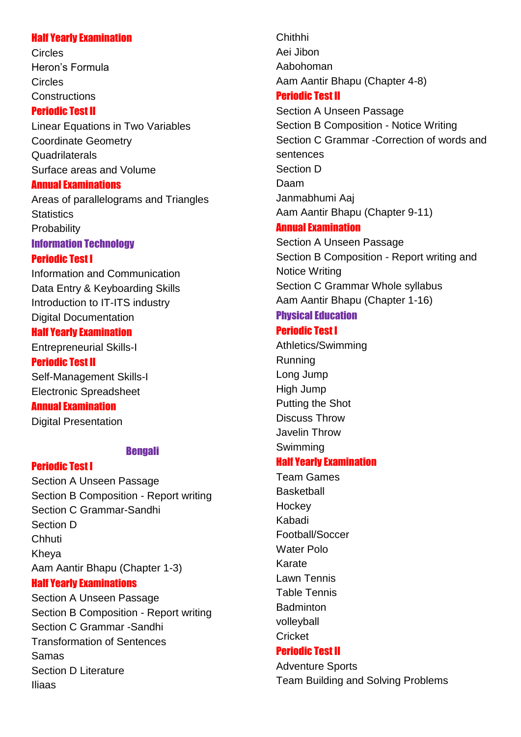#### Half Yearly Examination

Circles Heron's Formula Circles **Constructions** 

#### Periodic Test II

Linear Equations in Two Variables Coordinate Geometry **Quadrilaterals** Surface areas and Volume

#### Annual Examinations

Areas of parallelograms and Triangles **Statistics Probability** 

#### Information Technology

#### Periodic Test I

Information and Communication Data Entry & Keyboarding Skills Introduction to IT-ITS industry Digital Documentation

#### Half Yearly Examination

Entrepreneurial Skills-I Periodic Test II

Self-Management Skills-I Electronic Spreadsheet

### Annual Examination

Digital Presentation

#### Bengali

### Periodic Test I

Section A Unseen Passage Section B Composition - Report writing Section C Grammar-Sandhi Section D **Chhuti** Kheya Aam Aantir Bhapu (Chapter 1-3) Half Yearly Examinations Section A Unseen Passage Section B Composition - Report writing Section C Grammar -Sandhi Transformation of Sentences Samas Section D Literature Iliaas

Chithhi Aei Jibon Aabohoman Aam Aantir Bhapu (Chapter 4-8)

#### Periodic Test II

Section A Unseen Passage Section B Composition - Notice Writing Section C Grammar -Correction of words and sentences Section D Daam Janmabhumi Aaj Aam Aantir Bhapu (Chapter 9-11)

## Annual Examination

Section A Unseen Passage Section B Composition - Report writing and Notice Writing Section C Grammar Whole syllabus Aam Aantir Bhapu (Chapter 1-16)

## Physical Education

### Periodic Test I

Athletics/Swimming Running Long Jump High Jump Putting the Shot Discuss Throw Javelin Throw Swimming

### Half Yearly Examination

Team Games **Basketball Hockey** Kabadi Football/Soccer Water Polo Karate Lawn Tennis Table Tennis **Badminton** volleyball **Cricket** 

### Periodic Test II

Adventure Sports Team Building and Solving Problems